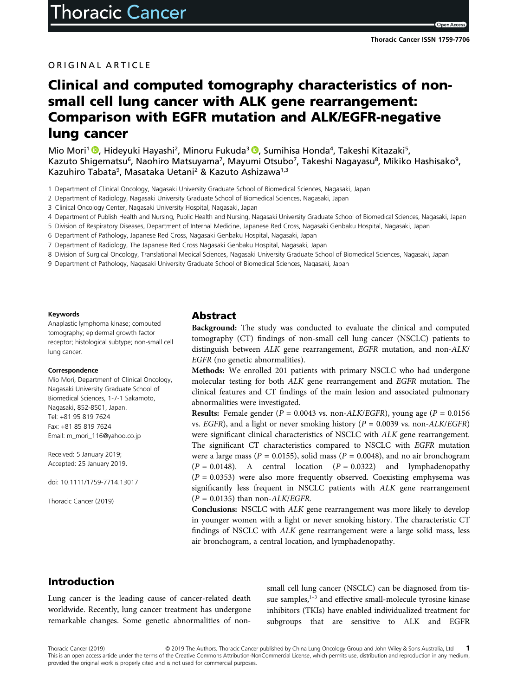Open Acce

#### ORIGINAL ARTICLE

# Clinical and computed tomography characteristics of nonsmall cell lung cancer with ALK gene rearrangement: Comparison with EGFR mutation and ALK/EGFR-negative lung cancer

Mio Mori<sup>1</sup> <sup>®</sup>[,](https://orcid.org/0000-0002-5321-1843) Hideyuki Hayashi<sup>2</sup>, Minoru Fukuda<sup>3</sup> ®, Sumihisa Honda<sup>4</sup>, Takeshi Kitazaki<sup>5</sup>, Kazuto Shigematsu<sup>6</sup>, Naohiro Matsuyama<sup>7</sup>, Mayumi Otsubo<sup>7</sup>, Takeshi Nagayasu<sup>8</sup>, Mikiko Hashisako<sup>9</sup>, Kazuhiro Tabata<sup>9</sup>, Masataka Uetani<sup>2</sup> & Kazuto Ashizawa<sup>1,3</sup>

1 Department of Clinical Oncology, Nagasaki University Graduate School of Biomedical Sciences, Nagasaki, Japan

2 Department of Radiology, Nagasaki University Graduate School of Biomedical Sciences, Nagasaki, Japan

- 3 Clinical Oncology Center, Nagasaki University Hospital, Nagasaki, Japan
- 4 Department of Publish Health and Nursing, Public Health and Nursing, Nagasaki University Graduate School of Biomedical Sciences, Nagasaki, Japan
- 5 Division of Respiratory Diseases, Department of Internal Medicine, Japanese Red Cross, Nagasaki Genbaku Hospital, Nagasaki, Japan
- 6 Department of Pathology, Japanese Red Cross, Nagasaki Genbaku Hospital, Nagasaki, Japan
- 7 Department of Radiology, The Japanese Red Cross Nagasaki Genbaku Hospital, Nagasaki, Japan
- 8 Division of Surgical Oncology, Translational Medical Sciences, Nagasaki University Graduate School of Biomedical Sciences, Nagasaki, Japan
- 9 Department of Pathology, Nagasaki University Graduate School of Biomedical Sciences, Nagasaki, Japan

#### Keywords

Anaplastic lymphoma kinase; computed tomography; epidermal growth factor receptor; histological subtype; non-small cell lung cancer.

#### Correspondence

Mio Mori, Departmenf of Clinical Oncology, Nagasaki University Graduate School of Biomedical Sciences, 1-7-1 Sakamoto, Nagasaki, 852-8501, Japan. Tel: +81 95 819 7624 Fax: +81 85 819 7624 Email: m\_mori\_116@yahoo.co.jp

Received: 5 January 2019; Accepted: 25 January 2019.

doi: 10.1111/1759-7714.13017

Thoracic Cancer (2019)

#### Abstract

Background: The study was conducted to evaluate the clinical and computed tomography (CT) findings of non-small cell lung cancer (NSCLC) patients to distinguish between ALK gene rearrangement, EGFR mutation, and non-ALK/ EGFR (no genetic abnormalities).

Methods: We enrolled 201 patients with primary NSCLC who had undergone molecular testing for both ALK gene rearrangement and EGFR mutation. The clinical features and CT findings of the main lesion and associated pulmonary abnormalities were investigated.

**Results:** Female gender ( $P = 0.0043$  vs. non-ALK/EGFR), young age ( $P = 0.0156$ ) vs. EGFR), and a light or never smoking history ( $P = 0.0039$  vs. non-ALK/EGFR) were significant clinical characteristics of NSCLC with ALK gene rearrangement. The significant CT characteristics compared to NSCLC with EGFR mutation were a large mass ( $P = 0.0155$ ), solid mass ( $P = 0.0048$ ), and no air bronchogram  $(P = 0.0148)$ . A central location  $(P = 0.0322)$  and lymphadenopathy  $(P = 0.0353)$  were also more frequently observed. Coexisting emphysema was significantly less frequent in NSCLC patients with ALK gene rearrangement  $(P = 0.0135)$  than non-ALK/EGFR.

Conclusions: NSCLC with ALK gene rearrangement was more likely to develop in younger women with a light or never smoking history. The characteristic CT findings of NSCLC with ALK gene rearrangement were a large solid mass, less air bronchogram, a central location, and lymphadenopathy.

# Introduction

Lung cancer is the leading cause of cancer-related death worldwide. Recently, lung cancer treatment has undergone remarkable changes. Some genetic abnormalities of nonsmall cell lung cancer (NSCLC) can be diagnosed from tissue samples,<sup>1-3</sup> and effective small-molecule tyrosine kinase inhibitors (TKIs) have enabled individualized treatment for subgroups that are sensitive to ALK and EGFR

Thoracic Cancer (2019) © 2019 The Authors. Thoracic Cancer published by China Lung Oncology Group and John Wiley & Sons Australia, Ltd 1 This is an open access article under the terms of the Creative Commons Attribution-NonCommercial License, which permits use, distribution and reproduction in any medium, provided the original work is properly cited and is not used for commercial purposes.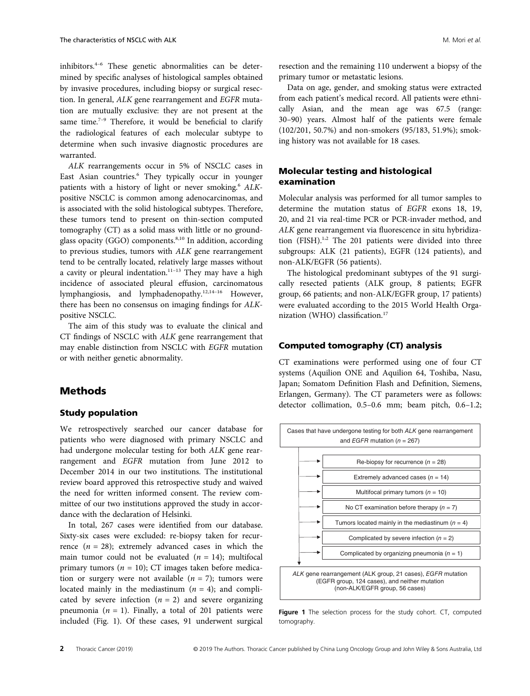inhibitors.<sup>4</sup>–<sup>6</sup> These genetic abnormalities can be determined by specific analyses of histological samples obtained by invasive procedures, including biopsy or surgical resection. In general, ALK gene rearrangement and EGFR mutation are mutually exclusive: they are not present at the same time.<sup>7-9</sup> Therefore, it would be beneficial to clarify the radiological features of each molecular subtype to determine when such invasive diagnostic procedures are warranted.

ALK rearrangements occur in 5% of NSCLC cases in East Asian countries.<sup>6</sup> They typically occur in younger patients with a history of light or never smoking.<sup>6</sup> ALKpositive NSCLC is common among adenocarcinomas, and is associated with the solid histological subtypes. Therefore, these tumors tend to present on thin-section computed tomography (CT) as a solid mass with little or no groundglass opacity (GGO) components.<sup>8,10</sup> In addition, according to previous studies, tumors with ALK gene rearrangement tend to be centrally located, relatively large masses without a cavity or pleural indentation.<sup>11-13</sup> They may have a high incidence of associated pleural effusion, carcinomatous lymphangiosis, and lymphadenopathy.12,14–<sup>16</sup> However, there has been no consensus on imaging findings for ALKpositive NSCLC.

The aim of this study was to evaluate the clinical and CT findings of NSCLC with ALK gene rearrangement that may enable distinction from NSCLC with EGFR mutation or with neither genetic abnormality.

# Methods

#### Study population

We retrospectively searched our cancer database for patients who were diagnosed with primary NSCLC and had undergone molecular testing for both ALK gene rearrangement and EGFR mutation from June 2012 to December 2014 in our two institutions. The institutional review board approved this retrospective study and waived the need for written informed consent. The review committee of our two institutions approved the study in accordance with the declaration of Helsinki.

In total, 267 cases were identified from our database. Sixty-six cases were excluded: re-biopsy taken for recurrence  $(n = 28)$ ; extremely advanced cases in which the main tumor could not be evaluated  $(n = 14)$ ; multifocal primary tumors ( $n = 10$ ); CT images taken before medication or surgery were not available  $(n = 7)$ ; tumors were located mainly in the mediastinum  $(n = 4)$ ; and complicated by severe infection  $(n = 2)$  and severe organizing pneumonia ( $n = 1$ ). Finally, a total of 201 patients were included (Fig. 1). Of these cases, 91 underwent surgical

resection and the remaining 110 underwent a biopsy of the primary tumor or metastatic lesions.

Data on age, gender, and smoking status were extracted from each patient's medical record. All patients were ethnically Asian, and the mean age was 67.5 (range: 30–90) years. Almost half of the patients were female (102/201, 50.7%) and non-smokers (95/183, 51.9%); smoking history was not available for 18 cases.

### Molecular testing and histological examination

Molecular analysis was performed for all tumor samples to determine the mutation status of EGFR exons 18, 19, 20, and 21 via real-time PCR or PCR-invader method, and ALK gene rearrangement via fluorescence in situ hybridization (FISH).<sup>1,2</sup> The 201 patients were divided into three subgroups: ALK (21 patients), EGFR (124 patients), and non-ALK/EGFR (56 patients).

The histological predominant subtypes of the 91 surgically resected patients (ALK group, 8 patients; EGFR group, 66 patients; and non-ALK/EGFR group, 17 patients) were evaluated according to the 2015 World Health Organization (WHO) classification.<sup>17</sup>

#### Computed tomography (CT) analysis

CT examinations were performed using one of four CT systems (Aquilion ONE and Aquilion 64, Toshiba, Nasu, Japan; Somatom Definition Flash and Definition, Siemens, Erlangen, Germany). The CT parameters were as follows: detector collimation, 0.5–0.6 mm; beam pitch, 0.6–1.2;



Figure 1 The selection process for the study cohort. CT, computed tomography.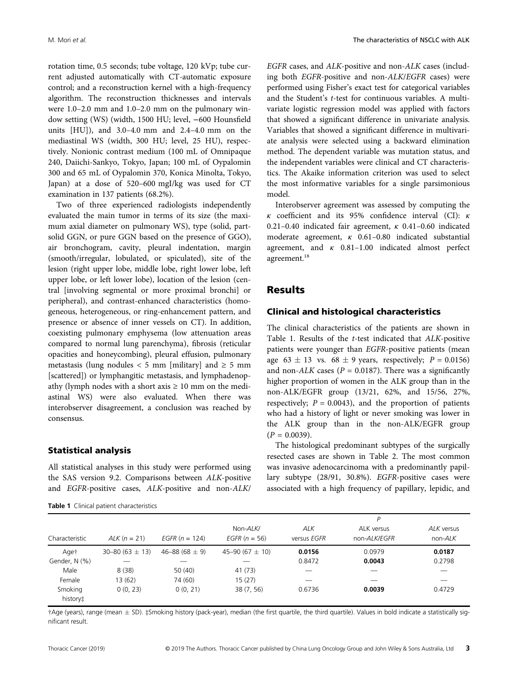rotation time, 0.5 seconds; tube voltage, 120 kVp; tube current adjusted automatically with CT-automatic exposure control; and a reconstruction kernel with a high-frequency algorithm. The reconstruction thicknesses and intervals were 1.0–2.0 mm and 1.0–2.0 mm on the pulmonary window setting (WS) (width, 1500 HU; level, −600 Hounsfield units [HU]), and 3.0–4.0 mm and 2.4–4.0 mm on the mediastinal WS (width, 300 HU; level, 25 HU), respectively. Nonionic contrast medium (100 mL of Omnipaque 240, Daiichi-Sankyo, Tokyo, Japan; 100 mL of Oypalomin 300 and 65 mL of Oypalomin 370, Konica Minolta, Tokyo, Japan) at a dose of 520–600 mgI/kg was used for CT examination in 137 patients (68.2%).

Two of three experienced radiologists independently evaluated the main tumor in terms of its size (the maximum axial diameter on pulmonary WS), type (solid, partsolid GGN, or pure GGN based on the presence of GGO), air bronchogram, cavity, pleural indentation, margin (smooth/irregular, lobulated, or spiculated), site of the lesion (right upper lobe, middle lobe, right lower lobe, left upper lobe, or left lower lobe), location of the lesion (central [involving segmental or more proximal bronchi] or peripheral), and contrast-enhanced characteristics (homogeneous, heterogeneous, or ring-enhancement pattern, and presence or absence of inner vessels on CT). In addition, coexisting pulmonary emphysema (low attenuation areas compared to normal lung parenchyma), fibrosis (reticular opacities and honeycombing), pleural effusion, pulmonary metastasis (lung nodules  $<$  5 mm [military] and  $\geq$  5 mm [scattered]) or lymphangitic metastasis, and lymphadenopathy (lymph nodes with a short axis  $\geq 10$  mm on the mediastinal WS) were also evaluated. When there was interobserver disagreement, a conclusion was reached by consensus.

#### Statistical analysis

All statistical analyses in this study were performed using the SAS version 9.2. Comparisons between ALK-positive and EGFR-positive cases, ALK-positive and non-ALK/

Table 1 Clinical patient characteristics

EGFR cases, and ALK-positive and non-ALK cases (including both EGFR-positive and non-ALK/EGFR cases) were performed using Fisher's exact test for categorical variables and the Student's t-test for continuous variables. A multivariate logistic regression model was applied with factors that showed a significant difference in univariate analysis. Variables that showed a significant difference in multivariate analysis were selected using a backward elimination method. The dependent variable was mutation status, and the independent variables were clinical and CT characteristics. The Akaike information criterion was used to select the most informative variables for a single parsimonious model.

Interobserver agreement was assessed by computing the κ coefficient and its 95% confidence interval (CI): κ 0.21-0.40 indicated fair agreement,  $\kappa$  0.41-0.60 indicated moderate agreement, κ 0.61–0.80 indicated substantial agreement, and  $\kappa$  0.81–1.00 indicated almost perfect agreement.<sup>18</sup>

#### **Results**

#### Clinical and histological characteristics

The clinical characteristics of the patients are shown in Table 1. Results of the t-test indicated that ALK-positive patients were younger than EGFR-positive patients (mean age  $63 \pm 13$  vs.  $68 \pm 9$  years, respectively;  $P = 0.0156$ ) and non- $ALK$  cases ( $P = 0.0187$ ). There was a significantly higher proportion of women in the ALK group than in the non-ALK/EGFR group (13/21, 62%, and 15/56, 27%, respectively;  $P = 0.0043$ , and the proportion of patients who had a history of light or never smoking was lower in the ALK group than in the non-ALK/EGFR group  $(P = 0.0039)$ .

The histological predominant subtypes of the surgically resected cases are shown in Table 2. The most common was invasive adenocarcinoma with a predominantly papillary subtype (28/91, 30.8%). EGFR-positive cases were associated with a high frequency of papillary, lepidic, and

|                     |                      |                    | P                              |                           |                            |                         |  |
|---------------------|----------------------|--------------------|--------------------------------|---------------------------|----------------------------|-------------------------|--|
| Characteristic      | $ALK (n = 21)$       | EGFR $(n = 124)$   | Non- $ALK/$<br>$EGFR (n = 56)$ | <b>ALK</b><br>versus EGFR | ALK versus<br>non-ALK/EGFR | ALK versus<br>$non-ALK$ |  |
| Aget                | $30 - 80(63 \pm 13)$ | 46-88 (68 $\pm$ 9) | 45-90 (67 $\pm$ 10)            | 0.0156                    | 0.0979                     | 0.0187                  |  |
| Gender, N (%)       |                      |                    |                                | 0.8472                    | 0.0043                     | 0.2798                  |  |
| Male                | 8(38)                | 50(40)             | 41 (73)                        |                           |                            |                         |  |
| Female              | 13 (62)              | 74 (60)            | 15(27)                         |                           |                            |                         |  |
| Smoking<br>history‡ | 0(0, 23)             | 0(0, 21)           | 38 (7, 56)                     | 0.6736                    | 0.0039                     | 0.4729                  |  |

 $\dagger$ Age (years), range (mean  $\pm$  SD).  $\ddagger$ Smoking history (pack-year), median (the first quartile, the third quartile). Values in bold indicate a statistically significant result.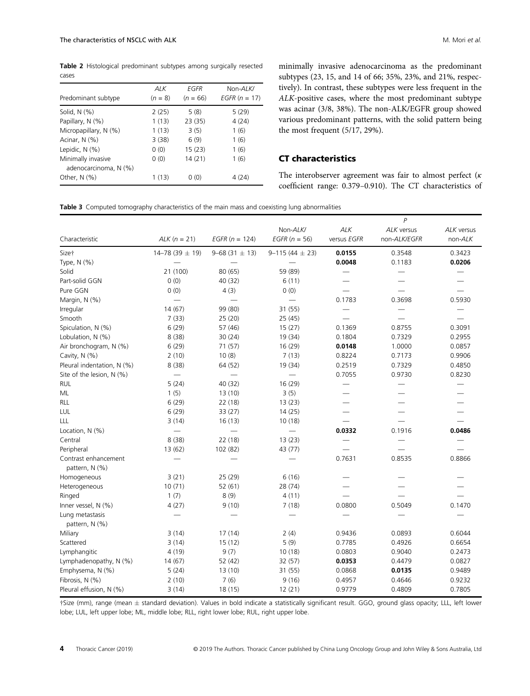Table 2 Histological predominant subtypes among surgically resected cases

| Predominant subtype                         | ALK<br>$(n = 8)$ | EGFR<br>$(n = 66)$ | Non-ALK/<br><i>EGFR</i> $(n = 17)$ |
|---------------------------------------------|------------------|--------------------|------------------------------------|
| Solid, $N$ $(\%)$                           | 2(25)            | 5(8)               | 5(29)                              |
| Papillary, N (%)                            | 1(13)            | 23 (35)            | 4(24)                              |
| Micropapillary, N (%)                       | 1(13)            | 3(5)               | 1(6)                               |
| Acinar, N (%)                               | 3(38)            | 6(9)               | 1(6)                               |
| Lepidic, N (%)                              | 0(0)             | 15(23)             | 1(6)                               |
| Minimally invasive<br>adenocarcinoma, N (%) | 0(0)             | 14(21)             | 1(6)                               |
| Other, $N$ (%)                              | 1 (13)           | 0(0)               | 4 (24)                             |

minimally invasive adenocarcinoma as the predominant subtypes (23, 15, and 14 of 66; 35%, 23%, and 21%, respectively). In contrast, these subtypes were less frequent in the ALK-positive cases, where the most predominant subtype was acinar (3/8, 38%). The non-ALK/EGFR group showed various predominant patterns, with the solid pattern being the most frequent (5/17, 29%).

# CT characteristics

The interobserver agreement was fair to almost perfect ( $\kappa$ coefficient range: 0.379–0.910). The CT characteristics of

Table 3 Computed tomography characteristics of the main mass and coexisting lung abnormalities

|                                        |                      |                     | $\overline{P}$              |                           |                            |                       |
|----------------------------------------|----------------------|---------------------|-----------------------------|---------------------------|----------------------------|-----------------------|
| Characteristic                         | $ALK (n = 21)$       | $EGFR (n = 124)$    | Non-ALK/<br>$EGFR (n = 56)$ | <b>ALK</b><br>versus EGFR | ALK versus<br>non-ALK/EGFR | ALK versus<br>non-ALK |
| Size†                                  | $14 - 78(39 \pm 19)$ | $9 - 68(31 \pm 13)$ | $9 - 115(44 \pm 23)$        | 0.0155                    | 0.3548                     | 0.3423                |
| Type, N (%)                            |                      |                     |                             | 0.0048                    | 0.1183                     | 0.0206                |
| Solid                                  | 21 (100)             | 80 (65)             | 59 (89)                     |                           |                            |                       |
| Part-solid GGN                         | 0(0)                 | 40 (32)             | 6(11)                       |                           |                            |                       |
| Pure GGN                               | 0(0)                 | 4(3)                | 0(0)                        |                           |                            |                       |
| Margin, N (%)                          |                      |                     |                             | 0.1783                    | 0.3698                     | 0.5930                |
| Irregular                              | 14(67)               | 99 (80)             | 31(55)                      |                           | —                          |                       |
| Smooth                                 | 7(33)                | 25 (20)             | 25(45)                      |                           |                            |                       |
| Spiculation, N (%)                     | 6(29)                | 57 (46)             | 15(27)                      | 0.1369                    | 0.8755                     | 0.3091                |
| Lobulation, N (%)                      | 8(38)                | 30(24)              | 19 (34)                     | 0.1804                    | 0.7329                     | 0.2955                |
| Air bronchogram, N (%)                 | 6(29)                | 71 (57)             | 16 (29)                     | 0.0148                    | 1.0000                     | 0.0857                |
| Cavity, N (%)                          | 2(10)                | 10(8)               | 7(13)                       | 0.8224                    | 0.7173                     | 0.9906                |
| Pleural indentation, N (%)             | 8(38)                | 64 (52)             | 19 (34)                     | 0.2519                    | 0.7329                     | 0.4850                |
| Site of the lesion, N (%)              | $\equiv$             | $\equiv$            |                             | 0.7055                    | 0.9730                     | 0.8230                |
| <b>RUL</b>                             | 5(24)                | 40 (32)             | 16 (29)                     | $\overline{\phantom{0}}$  |                            |                       |
| ML                                     | 1(5)                 | 13(10)              | 3(5)                        |                           |                            |                       |
| RLL                                    | 6(29)                | 22 (18)             | 13(23)                      |                           |                            |                       |
| LUL                                    | 6(29)                | 33(27)              | 14(25)                      |                           |                            |                       |
| LLL                                    | 3(14)                | 16(13)              | 10(18)                      |                           |                            |                       |
| Location, N (%)                        | ÷,                   | <u>in a</u>         |                             | 0.0332                    | 0.1916                     | 0.0486                |
| Central                                | 8(38)                | 22 (18)             | 13(23)                      |                           |                            |                       |
| Peripheral                             | 13 (62)              | 102 (82)            | 43 (77)                     |                           |                            |                       |
| Contrast enhancement<br>pattern, N (%) |                      |                     |                             | 0.7631                    | 0.8535                     | 0.8866                |
| Homogeneous                            | 3(21)                | 25(29)              | 6(16)                       |                           |                            |                       |
| Heterogeneous                          | 10(71)               | 52(61)              | 28 (74)                     |                           |                            |                       |
| Ringed                                 | 1(7)                 | 8(9)                | 4(11)                       |                           |                            |                       |
| Inner vessel, N (%)                    | 4(27)                | 9(10)               | 7(18)                       | 0.0800                    | 0.5049                     | 0.1470                |
| Lung metastasis<br>pattern, N (%)      |                      |                     |                             |                           |                            |                       |
| Miliary                                | 3(14)                | 17(14)              | 2(4)                        | 0.9436                    | 0.0893                     | 0.6044                |
| Scattered                              | 3(14)                | 15(12)              | 5(9)                        | 0.7785                    | 0.4926                     | 0.6654                |
| Lymphangitic                           | 4(19)                | 9(7)                | 10(18)                      | 0.0803                    | 0.9040                     | 0.2473                |
| Lymphadenopathy, N (%)                 | 14(67)               | 52 (42)             | 32 (57)                     | 0.0353                    | 0.4479                     | 0.0827                |
| Emphysema, N (%)                       | 5(24)                | 13(10)              | 31 (55)                     | 0.0868                    | 0.0135                     | 0.9489                |
| Fibrosis, N (%)                        | 2(10)                | 7(6)                | 9(16)                       | 0.4957                    | 0.4646                     | 0.9232                |
| Pleural effusion, N (%)                | 3(14)                | 18(15)              | 12(21)                      | 0.9779                    | 0.4809                     | 0.7805                |

†Size (mm), range (mean standard deviation). Values in bold indicate a statistically significant result. GGO, ground glass opacity; LLL, left lower lobe; LUL, left upper lobe; ML, middle lobe; RLL, right lower lobe; RUL, right upper lobe.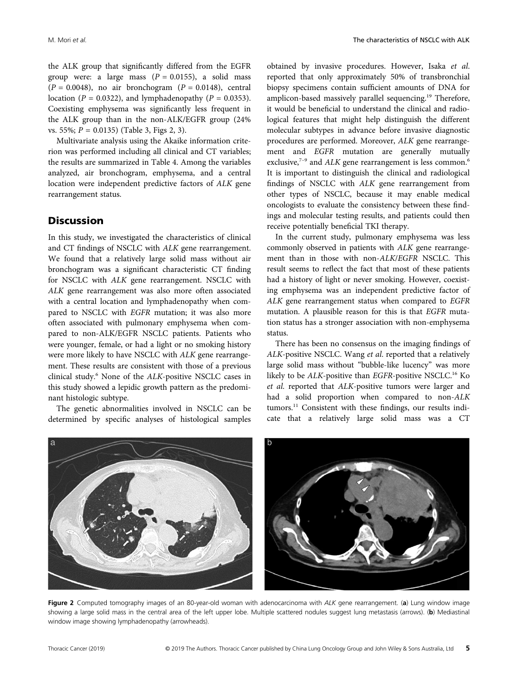the ALK group that significantly differed from the EGFR group were: a large mass  $(P = 0.0155)$ , a solid mass  $(P = 0.0048)$ , no air bronchogram  $(P = 0.0148)$ , central location ( $P = 0.0322$ ), and lymphadenopathy ( $P = 0.0353$ ). Coexisting emphysema was significantly less frequent in the ALK group than in the non-ALK/EGFR group (24% vs. 55%;  $P = 0.0135$ ) (Table 3, Figs 2, 3).

Multivariate analysis using the Akaike information criterion was performed including all clinical and CT variables; the results are summarized in Table 4. Among the variables analyzed, air bronchogram, emphysema, and a central location were independent predictive factors of ALK gene rearrangement status.

#### **Discussion**

In this study, we investigated the characteristics of clinical and CT findings of NSCLC with ALK gene rearrangement. We found that a relatively large solid mass without air bronchogram was a significant characteristic CT finding for NSCLC with ALK gene rearrangement. NSCLC with ALK gene rearrangement was also more often associated with a central location and lymphadenopathy when compared to NSCLC with EGFR mutation; it was also more often associated with pulmonary emphysema when compared to non-ALK/EGFR NSCLC patients. Patients who were younger, female, or had a light or no smoking history were more likely to have NSCLC with ALK gene rearrangement. These results are consistent with those of a previous clinical study.<sup>6</sup> None of the ALK-positive NSCLC cases in this study showed a lepidic growth pattern as the predominant histologic subtype.

The genetic abnormalities involved in NSCLC can be determined by specific analyses of histological samples

obtained by invasive procedures. However, Isaka et al. reported that only approximately 50% of transbronchial biopsy specimens contain sufficient amounts of DNA for amplicon-based massively parallel sequencing.<sup>19</sup> Therefore, it would be beneficial to understand the clinical and radiological features that might help distinguish the different molecular subtypes in advance before invasive diagnostic procedures are performed. Moreover, ALK gene rearrangement and EGFR mutation are generally mutually exclusive, $7-9$  and ALK gene rearrangement is less common.<sup>6</sup> It is important to distinguish the clinical and radiological findings of NSCLC with ALK gene rearrangement from other types of NSCLC, because it may enable medical oncologists to evaluate the consistency between these findings and molecular testing results, and patients could then receive potentially beneficial TKI therapy.

In the current study, pulmonary emphysema was less commonly observed in patients with ALK gene rearrangement than in those with non-ALK/EGFR NSCLC. This result seems to reflect the fact that most of these patients had a history of light or never smoking. However, coexisting emphysema was an independent predictive factor of ALK gene rearrangement status when compared to EGFR mutation. A plausible reason for this is that EGFR mutation status has a stronger association with non-emphysema status.

There has been no consensus on the imaging findings of ALK-positive NSCLC. Wang et al. reported that a relatively large solid mass without "bubble-like lucency" was more likely to be ALK-positive than EGFR-positive NSCLC.<sup>16</sup> Ko et al. reported that ALK-positive tumors were larger and had a solid proportion when compared to non-ALK tumors.<sup>11</sup> Consistent with these findings, our results indicate that a relatively large solid mass was a CT



Figure 2 Computed tomography images of an 80-year-old woman with adenocarcinoma with ALK gene rearrangement. (a) Lung window image showing a large solid mass in the central area of the left upper lobe. Multiple scattered nodules suggest lung metastasis (arrows). (b) Mediastinal window image showing lymphadenopathy (arrowheads).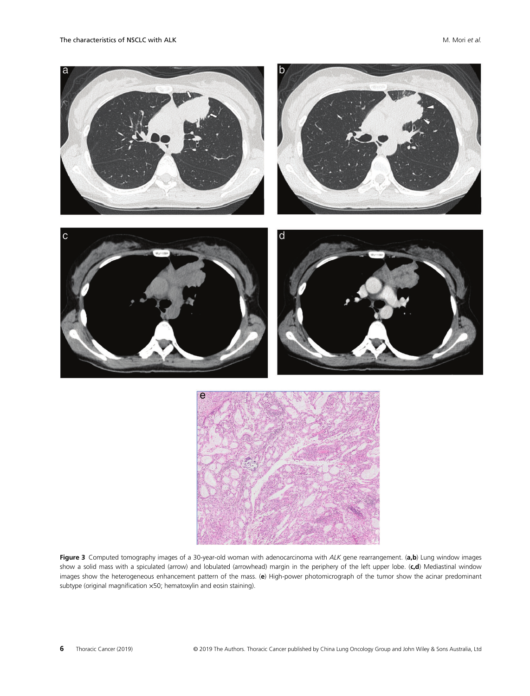

Figure 3 Computed tomography images of a 30-year-old woman with adenocarcinoma with ALK gene rearrangement. (a,b) Lung window images show a solid mass with a spiculated (arrow) and lobulated (arrowhead) margin in the periphery of the left upper lobe. (c,d) Mediastinal window images show the heterogeneous enhancement pattern of the mass. (e) High-power photomicrograph of the tumor show the acinar predominant subtype (original magnification ×50; hematoxylin and eosin staining).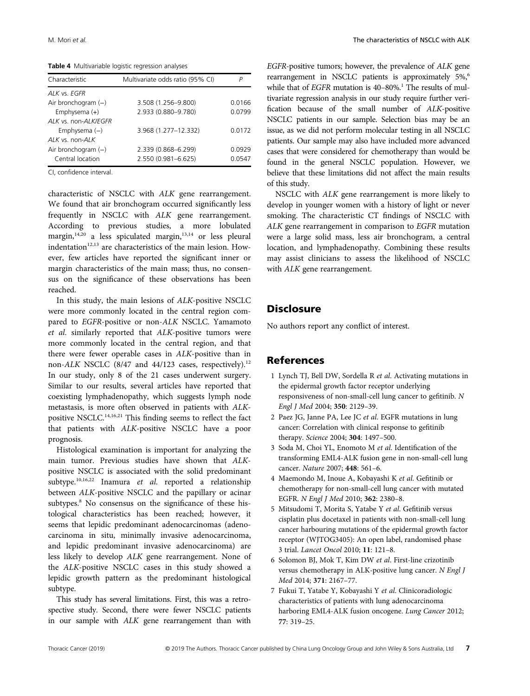Table 4 Multivariable logistic regression analyses

| Characteristic        | Multivariate odds ratio (95% CI) | P      |
|-----------------------|----------------------------------|--------|
| ALK vs. EGFR          |                                  |        |
| Air bronchogram $(-)$ | 3.508 (1.256-9.800)              | 0.0166 |
| Emphysema $(+)$       | 2.933 (0.880-9.780)              | 0.0799 |
| ALK vs. non-ALK/EGFR  |                                  |        |
| Emphysema $(-)$       | 3.968 (1.277-12.332)             | 0.0172 |
| $ALK$ vs. non- $ALK$  |                                  |        |
| Air bronchogram $(-)$ | 2.339 (0.868-6.299)              | 0.0929 |
| Central location      | 2.550 (0.981-6.625)              | 0.0547 |

CI, confidence interval.

characteristic of NSCLC with ALK gene rearrangement. We found that air bronchogram occurred significantly less frequently in NSCLC with ALK gene rearrangement. According to previous studies, a more lobulated margin, $14,20$  a less spiculated margin, $13,14$  or less pleural indentation<sup>12,13</sup> are characteristics of the main lesion. However, few articles have reported the significant inner or margin characteristics of the main mass; thus, no consensus on the significance of these observations has been reached.

In this study, the main lesions of ALK-positive NSCLC were more commonly located in the central region compared to EGFR-positive or non-ALK NSCLC. Yamamoto et al. similarly reported that ALK-positive tumors were more commonly located in the central region, and that there were fewer operable cases in ALK-positive than in non-ALK NSCLC (8/47 and 44/123 cases, respectively).<sup>12</sup> In our study, only 8 of the 21 cases underwent surgery. Similar to our results, several articles have reported that coexisting lymphadenopathy, which suggests lymph node metastasis, is more often observed in patients with ALKpositive NSCLC.14,16,21 This finding seems to reflect the fact that patients with ALK-positive NSCLC have a poor prognosis.

Histological examination is important for analyzing the main tumor. Previous studies have shown that ALKpositive NSCLC is associated with the solid predominant subtype.<sup>10,16,22</sup> Inamura et al. reported a relationship between ALK-positive NSCLC and the papillary or acinar subtypes.<sup>8</sup> No consensus on the significance of these histological characteristics has been reached; however, it seems that lepidic predominant adenocarcinomas (adenocarcinoma in situ, minimally invasive adenocarcinoma, and lepidic predominant invasive adenocarcinoma) are less likely to develop ALK gene rearrangement. None of the ALK-positive NSCLC cases in this study showed a lepidic growth pattern as the predominant histological subtype.

This study has several limitations. First, this was a retrospective study. Second, there were fewer NSCLC patients in our sample with ALK gene rearrangement than with EGFR-positive tumors; however, the prevalence of ALK gene rearrangement in NSCLC patients is approximately 5%,<sup>6</sup> while that of  $EGFR$  mutation is 40–80%.<sup>1</sup> The results of multivariate regression analysis in our study require further verification because of the small number of ALK-positive NSCLC patients in our sample. Selection bias may be an issue, as we did not perform molecular testing in all NSCLC patients. Our sample may also have included more advanced cases that were considered for chemotherapy than would be found in the general NSCLC population. However, we believe that these limitations did not affect the main results of this study.

NSCLC with ALK gene rearrangement is more likely to develop in younger women with a history of light or never smoking. The characteristic CT findings of NSCLC with ALK gene rearrangement in comparison to EGFR mutation were a large solid mass, less air bronchogram, a central location, and lymphadenopathy. Combining these results may assist clinicians to assess the likelihood of NSCLC with ALK gene rearrangement.

# **Disclosure**

No authors report any conflict of interest.

#### References

- 1 Lynch TJ, Bell DW, Sordella R et al. Activating mutations in the epidermal growth factor receptor underlying responsiveness of non-small-cell lung cancer to gefitinib. N Engl J Med 2004; 350: 2129–39.
- 2 Paez JG, Janne PA, Lee JC et al. EGFR mutations in lung cancer: Correlation with clinical response to gefitinib therapy. Science 2004; 304: 1497–500.
- 3 Soda M, Choi YL, Enomoto M et al. Identification of the transforming EML4-ALK fusion gene in non-small-cell lung cancer. Nature 2007; 448: 561–6.
- 4 Maemondo M, Inoue A, Kobayashi K et al. Gefitinib or chemotherapy for non-small-cell lung cancer with mutated EGFR. N Engl J Med 2010; 362: 2380–8.
- 5 Mitsudomi T, Morita S, Yatabe Y et al. Gefitinib versus cisplatin plus docetaxel in patients with non-small-cell lung cancer harbouring mutations of the epidermal growth factor receptor (WJTOG3405): An open label, randomised phase 3 trial. Lancet Oncol 2010; 11: 121–8.
- 6 Solomon BJ, Mok T, Kim DW et al. First-line crizotinib versus chemotherapy in ALK-positive lung cancer. N Engl J Med 2014; 371: 2167–77.
- 7 Fukui T, Yatabe Y, Kobayashi Y et al. Clinicoradiologic characteristics of patients with lung adenocarcinoma harboring EML4-ALK fusion oncogene. Lung Cancer 2012; 77: 319–25.